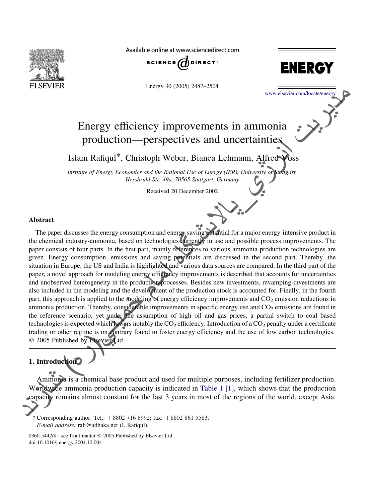

Available online at www.sciencedirect.com



Energy 30 (2005) 2487–2504



[www.elsevier.com/locate/energy](http://www.elsevier.com/locate/energy)

## Energy efficiency improvements in ammonia production—perspectives and uncertainties

Islam Rafiqul\*, Christoph Weber, Bianca Lehmann, Alfred Voss

Institute of Energy Economics and the Rational Use of Energy (IER), University of Stuttgart, Hessbruhl Str. 49a, 70565 Stuttgart, Germany

Received 20 December 2002

## Abstract

The paper discusses the energy consumption and energy saving potential for a major energy-intensive product in the chemical industry-ammonia, based on technologies currently in use and possible process improvements. The paper consists of four parts. In the first part, mainly references to various ammonia production technologies are given. Energy consumption, emissions and saving potentials are discussed in the second part. Thereby, the situation in Europe, the US and India is highlighted and various data sources are compared. In the third part of the paper, a novel approach for modeling energy efficiency improvements is described that accounts for uncertainties and unobserved heterogeneity in the production processes. Besides new investments, revamping investments are also included in the modeling and the development of the production stock is accounted for. Finally, in the fourth part, this approach is applied to the modeling of energy efficiency improvements and  $CO<sub>2</sub>$  emission reductions in ammonia production. Thereby, considerable improvements in specific energy use and  $CO<sub>2</sub>$  emissions are found in the reference scenario, yet under the assumption of high oil and gas prices, a partial switch to coal based technologies is expected which lowers notably the  $CO<sub>2</sub>$  efficiency. Introduction of a  $CO<sub>2</sub>$  penalty under a certificate trading or other regime is on contrary found to foster energy efficiency and the use of low carbon technologies. © 2005 Published by Elsevier Ltd. The discusses the energy consumption and energy saving potential for a major and industry-ammonia, based on technologies currently in use and possible that productly consumption, emissions and saving potentials are discuss

## 1. Introduction

Ammonia is a chemical base product and used for multiple purposes, including fertilizer production. Worldwide ammonia production capacity is indicated in [Table 1](#page-1-0) [\[1\]](#page-16-0), which shows that the production capacity remains almost constant for the last 3 years in most of the regions of the world, except Asia.

<sup>\*</sup> Corresponding author. Tel.:  $+8802$  716 8992; fax:  $+8802$  861 5583. E-mail address: rafi@udhaka.net (I. Rafiqul).

<sup>0360-5442/\$ -</sup> see front matter © 2005 Published by Elsevier Ltd. doi:10.1016/j.energy.2004.12.004